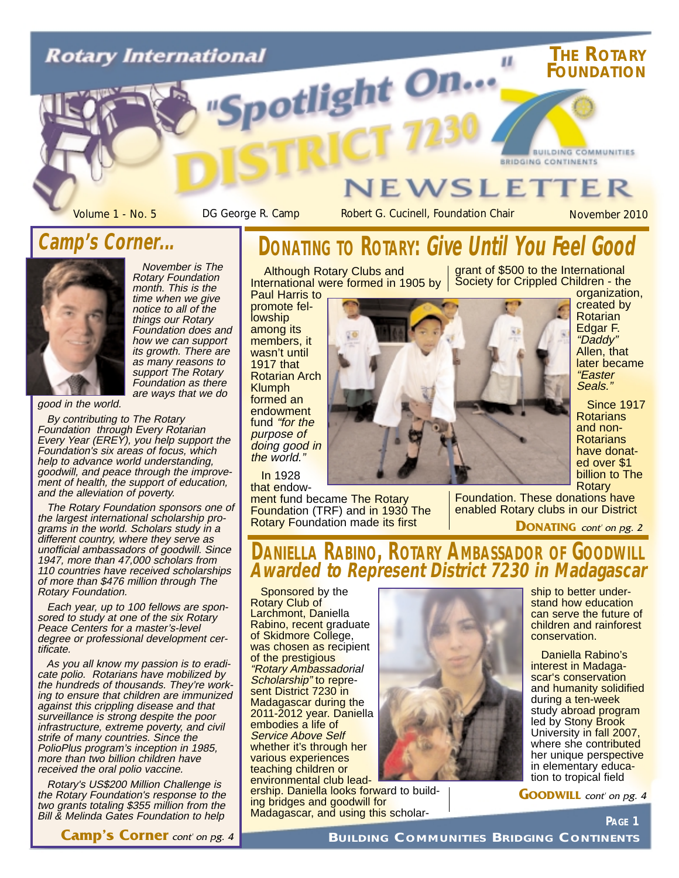### **THE ROTARY Rotary International** potlight On...  $\mathbf{H}$ **FOUNDATION BUILDING COMMUNITIES BRIDGING CONTINENTS**

Volume 1 - No. 5 Mars Conserve R. Camp Robert G. Cucinell, Foundation Chair November 2010

## **Camp's Corner...**



November is The Rotary Foundation month. This is the time when we give notice to all of the things our Rotary Foundation does and how we can support its growth. There are as many reasons to support The Rotary Foundation as there are ways that we do

good in the world.

By contributing to The Rotary Foundation through Every Rotarian Every Year (EREY), you help support the Foundation's six areas of focus, which help to advance world understanding, goodwill, and peace through the improvement of health, the support of education, and the alleviation of poverty.

The Rotary Foundation sponsors one of the largest international scholarship programs in the world. Scholars study in a different country, where they serve as unofficial ambassadors of goodwill. Since 1947, more than 47,000 scholars from 110 countries have received scholarships of more than \$476 million through The Rotary Foundation.

Each year, up to 100 fellows are sponsored to study at one of the six Rotary Peace Centers for a master's-level degree or professional development certificate.

As you all know my passion is to eradicate polio. Rotarians have mobilized by the hundreds of thousands. They're working to ensure that children are immunized against this crippling disease and that surveillance is strong despite the poor infrastructure, extreme poverty, and civil strife of many countries. Since the PolioPlus program's inception in 1985, more than two billion children have received the oral polio vaccine.

Rotary's US\$200 Million Challenge is the Rotary Foundation's response to the two grants totaling \$355 million from the Bill & Melinda Gates Foundation to help

**DONATING TO ROTARY: Give Until You Feel Good**

**Although Rotary Clubs and** International were formed in 1905 by

Paul Harris to promote fellowship among its members, it wasn't until 1917 that Rotarian Arch Klumph formed an endowment fund "for the purpose of doing good in the world."

In 1928 that endow-

ment fund became The Rotary Foundation (TRF) and in 1930 The **Rotary Foundation made its first** 



organization, created by **Rotarian** Edgar F. "Daddy" Allen, that later became "Easter Seals."

Since 1917 Rotarians and non-**Rotarians** have donated over \$1 billion to The **Rotary** 

Foundation. These donations have enabled Rotary clubs in our District

grant of \$500 to the International Society for Crippled Children - the

**EWSLETTER** 

**DONATING** cont' on pg. 2

## **DANIELLA RABINO, ROTARY AMBASSADOR OF GOODWILL Awarded to Represent District 7230 in Madagascar**

Sponsored by the Rotary Club of Larchmont, Daniella Rabino, recent graduate of Skidmore College, was chosen as recipient of the prestigious "Rotary Ambassadorial Scholarship" to represent District 7230 in Madagascar during the 2011-2012 year. Daniella embodies a life of Service Above Self whether it's through her various experiences teaching children or environmental club lead-

ership. Daniella looks forward to building bridges and goodwill for Madagascar, and using this scholar-



ship to better understand how education can serve the future of children and rainforest conservation.

Daniella Rabino's interest in Madagascar's conservation and humanity solidified during a ten-week study abroad program led by Stony Brook University in fall 2007, where she contributed her unique perspective in elementary education to tropical field

**GOODWILL** cont' on pg. 4

**PAGE 1**

**Camp's Corner** cont' on pg. 4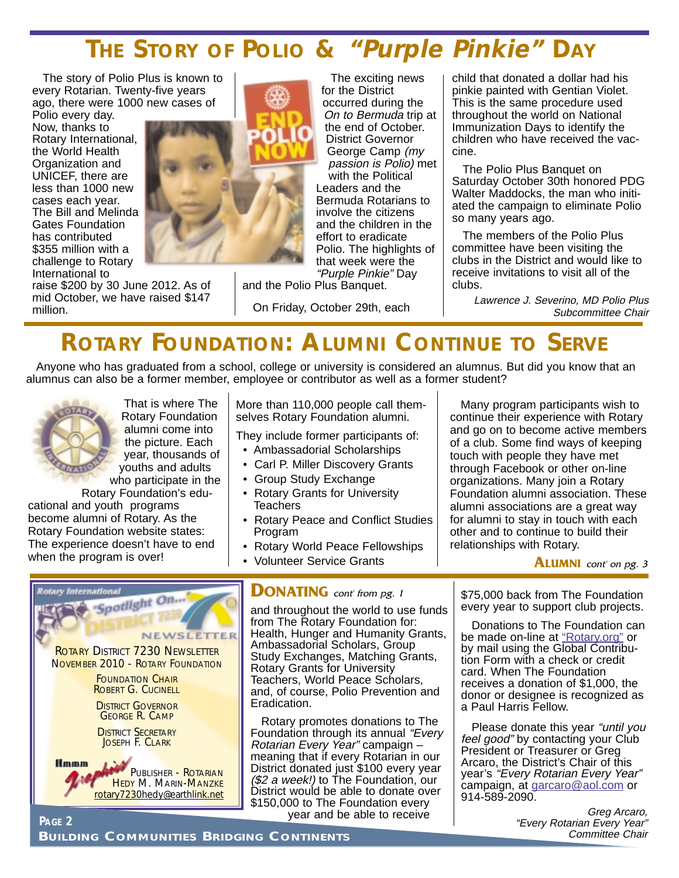## **THE STORY OF POLIO & "Purple Pinkie" DAY**

The exciting news

for the District occurred during the On to Bermuda trip at the end of October. District Governor George Camp (my passion is Polio) met with the Political

The story of Polio Plus is known to every Rotarian. Twenty-five years ago, there were 1000 new cases of

Polio every day. Now, thanks to Rotary International, the World Health Organization and UNICEF, there are less than 1000 new cases each year. The Bill and Melinda Gates Foundation has contributed \$355 million with a challenge to Rotary International to

raise \$200 by 30 June 2012. As of mid October, we have raised \$147 million.



"Purple Pinkie" Day and the Polio Plus Banquet.

On Friday, October 29th, each

child that donated a dollar had his pinkie painted with Gentian Violet. This is the same procedure used throughout the world on National Immunization Days to identify the children who have received the vaccine.

The Polio Plus Banquet on Saturday October 30th honored PDG Walter Maddocks, the man who initiated the campaign to eliminate Polio so many years ago.

The members of the Polio Plus committee have been visiting the clubs in the District and would like to receive invitations to visit all of the clubs.

> Lawrence J. Severino, MD Polio Plus Subcommittee Chair

# **ROTARY FOUNDATION: ALUMNI CONTINUE TO SERVE**

Anyone who has graduated from a school, college or university is considered an alumnus. But did you know that an alumnus can also be a former member, employee or contributor as well as a former student?



That is where The Rotary Foundation alumni come into the picture. Each year, thousands of youths and adults who participate in the

Rotary Foundation's educational and youth programs become alumni of Rotary. As the Rotary Foundation website states: The experience doesn't have to end when the program is over!

More than 110,000 people call themselves Rotary Foundation alumni.

They include former participants of:

- Ambassadorial Scholarships
- Carl P. Miller Discovery Grants
- Group Study Exchange
- Rotary Grants for University **Teachers**
- Rotary Peace and Conflict Studies Program
- Rotary World Peace Fellowships
- Volunteer Service Grants

### **DONATING** cont' from pg. 1

and throughout the world to use funds from The Rotary Foundation for: Health, Hunger and Humanity Grants, Ambassadorial Scholars, Group Study Exchanges, Matching Grants, Rotary Grants for University Teachers, World Peace Scholars, and, of course, Polio Prevention and Eradication.

Rotary promotes donations to The Foundation through its annual "Every Rotarian Every Year" campaign meaning that if every Rotarian in our District donated just \$100 every year (\$2 a week!) to The Foundation, our District would be able to donate over \$150,000 to The Foundation every year and be able to receive

Many program participants wish to continue their experience with Rotary and go on to become active members of a club. Some find ways of keeping touch with people they have met through Facebook or other on-line organizations. Many join a Rotary Foundation alumni association. These alumni associations are a great way for alumni to stay in touch with each other and to continue to build their relationships with Rotary.

#### **ALUMNI** cont' on pg. 3

\$75,000 back from The Foundation every year to support club projects.

Donations to The Foundation can be made on-line at <u>"Rotary.org"</u> or by mail using the Global Contribution Form with a check or credit card. When The Foundation receives a donation of \$1,000, the donor or designee is recognized as a Paul Harris Fellow.

Please donate this year "until you feel good" by contacting your Club President or Treasurer or Greg Arcaro, the District's Chair of this year's "Every Rotarian Every Year" campaign, at garcaro@aol.com or 914-589-2090.

> Greg Arcaro, "Every Rotarian Every Year" Committee Chair

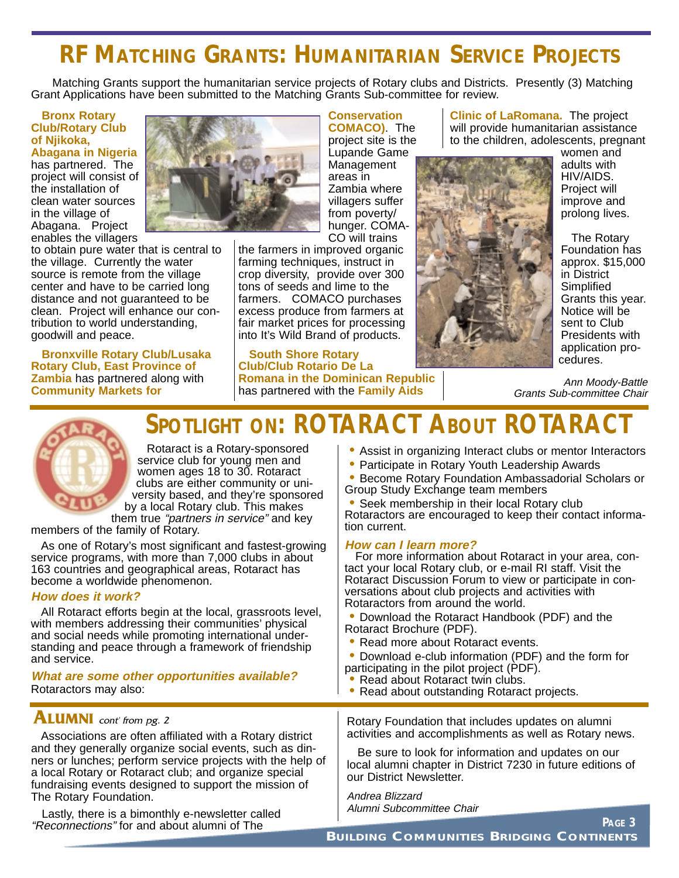## **RF MATCHING GRANTS: HUMANITARIAN SERVICE PROJECTS**

**Conservation COMACO)**. The project site is the Lupande Game Management areas in Zambia where

Matching Grants support the humanitarian service projects of Rotary clubs and Districts. Presently (3) Matching Grant Applications have been submitted to the Matching Grants Sub-committee for review.

#### **Bronx Rotary Club/Rotary Club of Njikoka, Abagana in Nigeria** has partnered. The project will consist of the installation of clean water sources in the village of Abagana. Project enables the villagers

to obtain pure water that is central to the village. Currently the water source is remote from the village center and have to be carried long distance and not guaranteed to be clean. Project will enhance our contribution to world understanding, goodwill and peace.

**Bronxville Rotary Club/Lusaka Rotary Club, East Province of Zambia** has partnered along with **Community Markets for**



villagers suffer from poverty/ hunger. COMA-CO will trains the farmers in improved organic farming techniques, instruct in crop diversity, provide over 300 tons of seeds and lime to the farmers. COMACO purchases excess produce from farmers at fair market prices for processing

**South Shore Rotary Club/Club Rotario De La Romana in the Dominican Republic** has partnered with the **Family Aids**

into It's Wild Brand of products.

**Clinic of LaRomana.** The project will provide humanitarian assistance to the children, adolescents, pregnant



women and adults with HIV/AIDS. Project will improve and prolong lives.

The Rotary Foundation has approx. \$15,000 in District **Simplified** Grants this year. Notice will be sent to Club Presidents with application procedures.

Ann Moody-Battle Grants Sub-committee Chair



# **SPOTLIGHT ON: ROTARACT ABOUT ROTARACT**

Rotaract is a Rotary-sponsored service club for young men and women ages 18 to 30. Rotaract clubs are either community or university based, and they're sponsored by a local Rotary club. This makes

them true "*partners in service*" and key members of the family of Rotary.

As one of Rotary's most significant and fastest-growing service programs, with more than 7,000 clubs in about 163 countries and geographical areas, Rotaract has become a worldwide phenomenon.

#### **How does it work?**

All Rotaract efforts begin at the local, grassroots level, with members addressing their communities' physical and social needs while promoting international understanding and peace through a framework of friendship and service.

#### **What are some other opportunities available?** Rotaractors may also:

### **ALUMNI** cont from pg. 2

Associations are often affiliated with a Rotary district and they generally organize social events, such as dinners or lunches; perform service projects with the help of a local Rotary or Rotaract club; and organize special fundraising events designed to support the mission of The Rotary Foundation.

Lastly, there is a bimonthly e-newsletter called "Reconnections" for and about alumni of The

- Assist in organizing Interact clubs or mentor Interactors
- Participate in Rotary Youth Leadership Awards
- Become Rotary Foundation Ambassadorial Scholars or
- Group Study Exchange team members

Seek membership in their local Rotary club Rotaractors are encouraged to keep their contact information current.

#### **How can I learn more?**

For more information about Rotaract in your area, contact your local Rotary club, or e-mail RI staff. Visit the Rotaract Discussion Forum to view or participate in conversations about club projects and activities with Rotaractors from around the world.

• Download the Rotaract Handbook (PDF) and the Rotaract Brochure (PDF).

- Read more about Rotaract events.
- Download e-club information (PDF) and the form for participating in the pilot project (PDF).
- Read about Rotaract twin clubs.
- Read about outstanding Rotaract projects.

Rotary Foundation that includes updates on alumni activities and accomplishments as well as Rotary news.

Be sure to look for information and updates on our local alumni chapter in District 7230 in future editions of our District Newsletter.

Andrea Blizzard Alumni Subcommittee Chair